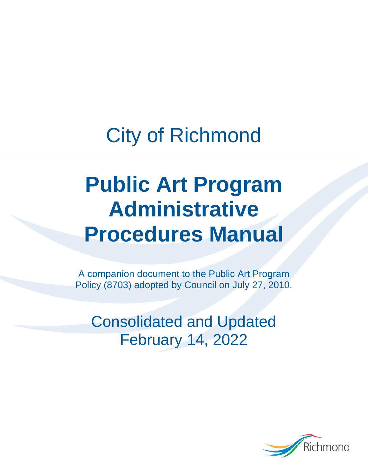# City of Richmond

# **Public Art Program Administrative Procedures Manual**

A companion document to the Public Art Program Policy (8703) adopted by Council on July 27, 2010.

Consolidated and Updated February 14, 2022

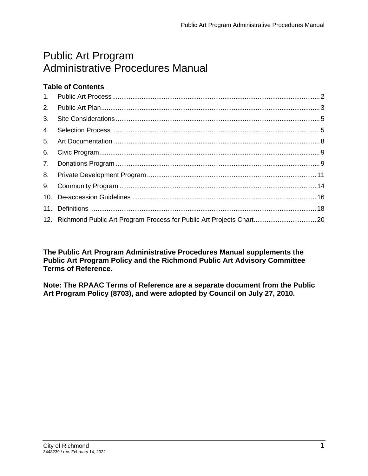# Public Art Program Administrative Procedures Manual

# **Table of Contents**

| 2.             |  |
|----------------|--|
| 3 <sub>l</sub> |  |
| 4.             |  |
| 5.             |  |
|                |  |
|                |  |
|                |  |
|                |  |
|                |  |
|                |  |
|                |  |

**The Public Art Program Administrative Procedures Manual supplements the Public Art Program Policy and the Richmond Public Art Advisory Committee Terms of Reference.** 

**Note: The RPAAC Terms of Reference are a separate document from the Public Art Program Policy (8703), and were adopted by Council on July 27, 2010.**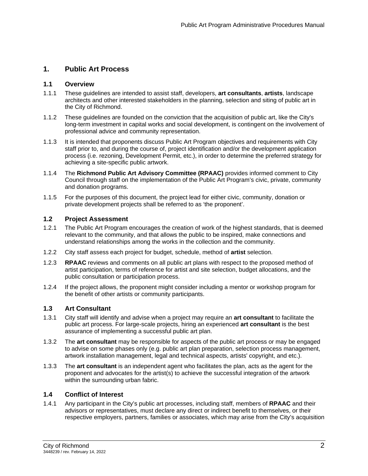# **1. Public Art Process**

### **1.1 Overview**

- 1.1.1 These guidelines are intended to assist staff, developers, **art consultants**, **artists**, landscape architects and other interested stakeholders in the planning, selection and siting of public art in the City of Richmond.
- 1.1.2 These guidelines are founded on the conviction that the acquisition of public art, like the City's long-term investment in capital works and social development, is contingent on the involvement of professional advice and community representation.
- 1.1.3 It is intended that proponents discuss Public Art Program objectives and requirements with City staff prior to, and during the course of, project identification and/or the development application process (i.e. rezoning, Development Permit, etc.), in order to determine the preferred strategy for achieving a site-specific public artwork.
- 1.1.4 The **Richmond Public Art Advisory Committee (RPAAC)** provides informed comment to City Council through staff on the implementation of the Public Art Program's civic, private, community and donation programs.
- 1.1.5 For the purposes of this document, the project lead for either civic, community, donation or private development projects shall be referred to as 'the proponent'.

#### **1.2 Project Assessment**

- 1.2.1 The Public Art Program encourages the creation of work of the highest standards, that is deemed relevant to the community, and that allows the public to be inspired, make connections and understand relationships among the works in the collection and the community.
- 1.2.2 City staff assess each project for budget, schedule, method of **artist** selection.
- 1.2.3 **RPAAC** reviews and comments on all public art plans with respect to the proposed method of artist participation, terms of reference for artist and site selection, budget allocations, and the public consultation or participation process.
- 1.2.4 If the project allows, the proponent might consider including a mentor or workshop program for the benefit of other artists or community participants.

# **1.3 Art Consultant**

- 1.3.1 City staff will identify and advise when a project may require an **art consultant** to facilitate the public art process. For large-scale projects, hiring an experienced **art consultant** is the best assurance of implementing a successful public art plan.
- 1.3.2 The **art consultant** may be responsible for aspects of the public art process or may be engaged to advise on some phases only (e.g. public art plan preparation, selection process management, artwork installation management, legal and technical aspects, artists' copyright, and etc.).
- 1.3.3 The **art consultant** is an independent agent who facilitates the plan, acts as the agent for the proponent and advocates for the artist(s) to achieve the successful integration of the artwork within the surrounding urban fabric.

# **1.4 Conflict of Interest**

1.4.1 Any participant in the City's public art processes, including staff, members of **RPAAC** and their advisors or representatives, must declare any direct or indirect benefit to themselves, or their respective employers, partners, families or associates, which may arise from the City's acquisition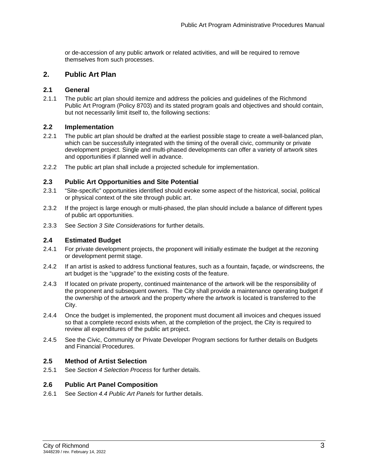or de-accession of any public artwork or related activities, and will be required to remove themselves from such processes.

# **2. Public Art Plan**

#### **2.1 General**

2.1.1 The public art plan should itemize and address the policies and guidelines of the Richmond Public Art Program (Policy 8703) and its stated program goals and objectives and should contain, but not necessarily limit itself to, the following sections:

#### **2.2 Implementation**

- 2.2.1 The public art plan should be drafted at the earliest possible stage to create a well-balanced plan, which can be successfully integrated with the timing of the overall civic, community or private development project. Single and multi-phased developments can offer a variety of artwork sites and opportunities if planned well in advance.
- 2.2.2 The public art plan shall include a projected schedule for implementation.

#### **2.3 Public Art Opportunities and Site Potential**

- 2.3.1 "Site-specific" opportunities identified should evoke some aspect of the historical, social, political or physical context of the site through public art.
- 2.3.2 If the project is large enough or multi-phased, the plan should include a balance of different types of public art opportunities.
- 2.3.3 See *Section 3 Site Considerations* for further details.

#### **2.4 Estimated Budget**

- 2.4.1 For private development projects, the proponent will initially estimate the budget at the rezoning or development permit stage.
- 2.4.2 If an artist is asked to address functional features, such as a fountain, façade, or windscreens, the art budget is the "upgrade" to the existing costs of the feature.
- 2.4.3 If located on private property, continued maintenance of the artwork will be the responsibility of the proponent and subsequent owners. The City shall provide a maintenance operating budget if the ownership of the artwork and the property where the artwork is located is transferred to the City.
- 2.4.4 Once the budget is implemented, the proponent must document all invoices and cheques issued so that a complete record exists when, at the completion of the project, the City is required to review all expenditures of the public art project.
- 2.4.5 See the Civic, Community or Private Developer Program sections for further details on Budgets and Financial Procedures.

#### **2.5 Method of Artist Selection**

2.5.1 See *Section 4 Selection Process* for further details.

#### **2.6 Public Art Panel Composition**

2.6.1 See *Section 4.4 Public Art Panels* for further details.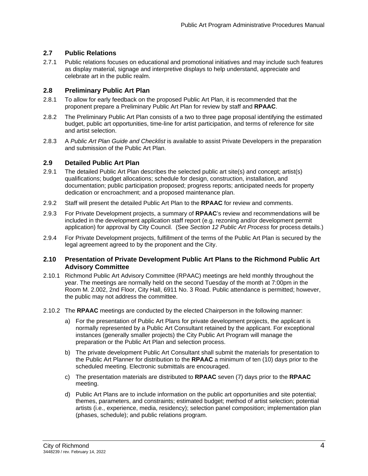# **2.7 Public Relations**

2.7.1 Public relations focuses on educational and promotional initiatives and may include such features as display material, signage and interpretive displays to help understand, appreciate and celebrate art in the public realm.

### **2.8 Preliminary Public Art Plan**

- 2.8.1 To allow for early feedback on the proposed Public Art Plan, it is recommended that the proponent prepare a Preliminary Public Art Plan for review by staff and **RPAAC**.
- 2.8.2 The Preliminary Public Art Plan consists of a two to three page proposal identifying the estimated budget, public art opportunities, time-line for artist participation, and terms of reference for site and artist selection.
- 2.8.3 A *Public Art Plan Guide and Checklist* is available to assist Private Developers in the preparation and submission of the Public Art Plan.

#### **2.9 Detailed Public Art Plan**

- 2.9.1 The detailed Public Art Plan describes the selected public art site(s) and concept; artist(s) qualifications; budget allocations; schedule for design, construction, installation, and documentation; public participation proposed; progress reports; anticipated needs for property dedication or encroachment; and a proposed maintenance plan.
- 2.9.2 Staff will present the detailed Public Art Plan to the **RPAAC** for review and comments.
- 2.9.3 For Private Development projects, a summary of **RPAAC**'s review and recommendations will be included in the development application staff report (e.g. rezoning and/or development permit application) for approval by City Council. (See *Section 12 Public Art Process* for process details.)
- 2.9.4 For Private Development projects, fulfillment of the terms of the Public Art Plan is secured by the legal agreement agreed to by the proponent and the City.

#### **2.10 Presentation of Private Development Public Art Plans to the Richmond Public Art Advisory Committee**

- 2.10.1 Richmond Public Art Advisory Committee (RPAAC) meetings are held monthly throughout the year. The meetings are normally held on the second Tuesday of the month at 7:00pm in the Room M. 2.002, 2nd Floor, City Hall, 6911 No. 3 Road. Public attendance is permitted; however, the public may not address the committee.
- 2.10.2 The **RPAAC** meetings are conducted by the elected Chairperson in the following manner:
	- a) For the presentation of Public Art Plans for private development projects, the applicant is normally represented by a Public Art Consultant retained by the applicant. For exceptional instances (generally smaller projects) the City Public Art Program will manage the preparation or the Public Art Plan and selection process.
	- b) The private development Public Art Consultant shall submit the materials for presentation to the Public Art Planner for distribution to the **RPAAC** a minimum of ten (10) days prior to the scheduled meeting. Electronic submittals are encouraged.
	- c) The presentation materials are distributed to **RPAAC** seven (7) days prior to the **RPAAC** meeting.
	- d) Public Art Plans are to include information on the public art opportunities and site potential; themes, parameters, and constraints; estimated budget; method of artist selection; potential artists (i.e., experience, media, residency); selection panel composition; implementation plan (phases, schedule); and public relations program.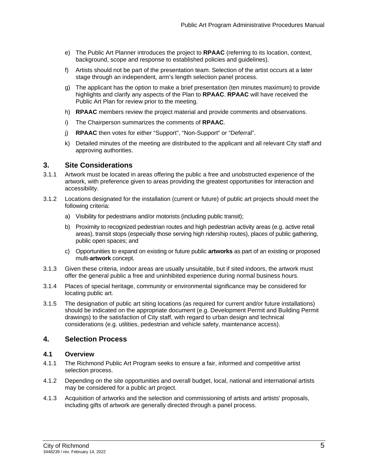- e) The Public Art Planner introduces the project to **RPAAC** (referring to its location, context, background, scope and response to established policies and guidelines).
- f) Artists should not be part of the presentation team. Selection of the artist occurs at a later stage through an independent, arm's length selection panel process.
- g) The applicant has the option to make a brief presentation (ten minutes maximum) to provide highlights and clarify any aspects of the Plan to **RPAAC**. **RPAAC** will have received the Public Art Plan for review prior to the meeting.
- h) **RPAAC** members review the project material and provide comments and observations.
- i) The Chairperson summarizes the comments of **RPAAC**.
- j) **RPAAC** then votes for either "Support", "Non-Support" or "Deferral".
- k) Detailed minutes of the meeting are distributed to the applicant and all relevant City staff and approving authorities.

# **3. Site Considerations**

- 3.1.1 Artwork must be located in areas offering the public a free and unobstructed experience of the artwork, with preference given to areas providing the greatest opportunities for interaction and accessibility.
- 3.1.2 Locations designated for the installation (current or future) of public art projects should meet the following criteria:
	- a) Visibility for pedestrians and/or motorists (including public transit);
	- b) Proximity to recognized pedestrian routes and high pedestrian activity areas (e.g. active retail areas), transit stops (especially those serving high ridership routes), places of public gathering, public open spaces; and
	- c) Opportunities to expand on existing or future public **artworks** as part of an existing or proposed multi-**artwork** concept.
- 3.1.3 Given these criteria, indoor areas are usually unsuitable, but if sited indoors, the artwork must offer the general public a free and uninhibited experience during normal business hours.
- 3.1.4 Places of special heritage, community or environmental significance may be considered for locating public art.
- 3.1.5 The designation of public art siting locations (as required for current and/or future installations) should be indicated on the appropriate document (e.g. Development Permit and Building Permit drawings) to the satisfaction of City staff, with regard to urban design and technical considerations (e.g. utilities, pedestrian and vehicle safety, maintenance access).

# **4. Selection Process**

#### **4.1 Overview**

- 4.1.1 The Richmond Public Art Program seeks to ensure a fair, informed and competitive artist selection process.
- 4.1.2 Depending on the site opportunities and overall budget, local, national and international artists may be considered for a public art project.
- 4.1.3 Acquisition of artworks and the selection and commissioning of artists and artists' proposals, including gifts of artwork are generally directed through a panel process.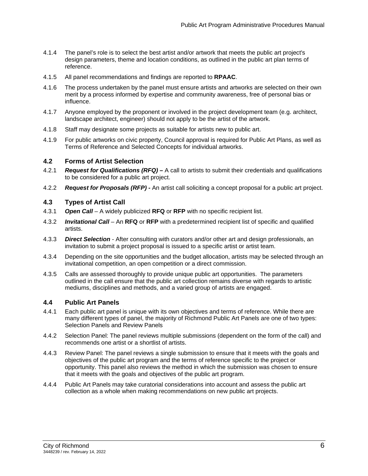- 4.1.4 The panel's role is to select the best artist and/or artwork that meets the public art project's design parameters, theme and location conditions, as outlined in the public art plan terms of reference.
- 4.1.5 All panel recommendations and findings are reported to **RPAAC**.
- 4.1.6 The process undertaken by the panel must ensure artists and artworks are selected on their own merit by a process informed by expertise and community awareness, free of personal bias or influence.
- 4.1.7 Anyone employed by the proponent or involved in the project development team (e.g. architect, landscape architect, engineer) should not apply to be the artist of the artwork.
- 4.1.8 Staff may designate some projects as suitable for artists new to public art.
- 4.1.9 For public artworks on civic property, Council approval is required for Public Art Plans, as well as Terms of Reference and Selected Concepts for individual artworks.

#### **4.2 Forms of Artist Selection**

- 4.2.1 *Request for Qualifications (RFQ)* A call to artists to submit their credentials and qualifications to be considered for a public art project.
- 4.2.2 *Request for Proposals (RFP)* An artist call soliciting a concept proposal for a public art project.

#### **4.3 Types of Artist Call**

- 4.3.1 *Open Call* A widely publicized **RFQ** or **RFP** with no specific recipient list.
- 4.3.2 *Invitational Call* An **RFQ** or **RFP** with a predetermined recipient list of specific and qualified artists.
- 4.3.3 *Direct Selection* After consulting with curators and/or other art and design professionals, an invitation to submit a project proposal is issued to a specific artist or artist team.
- 4.3.4 Depending on the site opportunities and the budget allocation, artists may be selected through an invitational competition, an open competition or a direct commission.
- 4.3.5 Calls are assessed thoroughly to provide unique public art opportunities. The parameters outlined in the call ensure that the public art collection remains diverse with regards to artistic mediums, disciplines and methods, and a varied group of artists are engaged.

#### **4.4 Public Art Panels**

- 4.4.1 Each public art panel is unique with its own objectives and terms of reference. While there are many different types of panel, the majority of Richmond Public Art Panels are one of two types: Selection Panels and Review Panels
- 4.4.2 Selection Panel: The panel reviews multiple submissions (dependent on the form of the call) and recommends one artist or a shortlist of artists.
- 4.4.3 Review Panel: The panel reviews a single submission to ensure that it meets with the goals and objectives of the public art program and the terms of reference specific to the project or opportunity. This panel also reviews the method in which the submission was chosen to ensure that it meets with the goals and objectives of the public art program.
- 4.4.4 Public Art Panels may take curatorial considerations into account and assess the public art collection as a whole when making recommendations on new public art projects.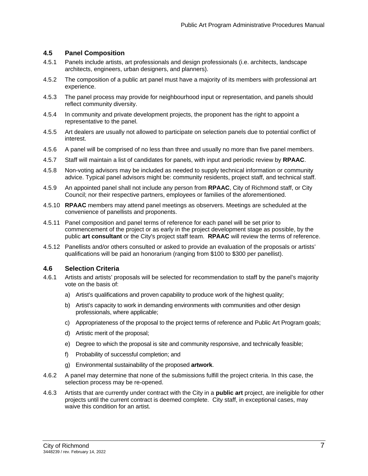#### **4.5 Panel Composition**

- 4.5.1 Panels include artists, art professionals and design professionals (i.e. architects, landscape architects, engineers, urban designers, and planners).
- 4.5.2 The composition of a public art panel must have a majority of its members with professional art experience.
- 4.5.3 The panel process may provide for neighbourhood input or representation, and panels should reflect community diversity.
- 4.5.4 In community and private development projects, the proponent has the right to appoint a representative to the panel.
- 4.5.5 Art dealers are usually not allowed to participate on selection panels due to potential conflict of interest.
- 4.5.6 A panel will be comprised of no less than three and usually no more than five panel members.
- 4.5.7 Staff will maintain a list of candidates for panels, with input and periodic review by **RPAAC**.
- 4.5.8 Non-voting advisors may be included as needed to supply technical information or community advice. Typical panel advisors might be: community residents, project staff, and technical staff.
- 4.5.9 An appointed panel shall not include any person from **RPAAC**, City of Richmond staff, or City Council; nor their respective partners, employees or families of the aforementioned.
- 4.5.10 **RPAAC** members may attend panel meetings as observers. Meetings are scheduled at the convenience of panellists and proponents.
- 4.5.11 Panel composition and panel terms of reference for each panel will be set prior to commencement of the project or as early in the project development stage as possible, by the public **art consultant** or the City's project staff team. **RPAAC** will review the terms of reference.
- 4.5.12 Panellists and/or others consulted or asked to provide an evaluation of the proposals or artists' qualifications will be paid an honorarium (ranging from \$100 to \$300 per panellist).

#### **4.6 Selection Criteria**

- 4.6.1 Artists and artists' proposals will be selected for recommendation to staff by the panel's majority vote on the basis of:
	- a) Artist's qualifications and proven capability to produce work of the highest quality;
	- b) Artist's capacity to work in demanding environments with communities and other design professionals, where applicable;
	- c) Appropriateness of the proposal to the project terms of reference and Public Art Program goals;
	- d) Artistic merit of the proposal;
	- e) Degree to which the proposal is site and community responsive, and technically feasible;
	- f) Probability of successful completion; and
	- g) Environmental sustainability of the proposed **artwork**.
- 4.6.2 A panel may determine that none of the submissions fulfill the project criteria. In this case, the selection process may be re-opened.
- 4.6.3 Artists that are currently under contract with the City in a **public art** project, are ineligible for other projects until the current contract is deemed complete. City staff, in exceptional cases, may waive this condition for an artist.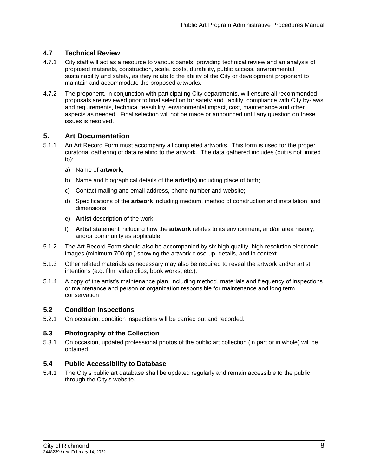# **4.7 Technical Review**

- 4.7.1 City staff will act as a resource to various panels, providing technical review and an analysis of proposed materials, construction, scale, costs, durability, public access, environmental sustainability and safety, as they relate to the ability of the City or development proponent to maintain and accommodate the proposed artworks.
- 4.7.2 The proponent, in conjunction with participating City departments, will ensure all recommended proposals are reviewed prior to final selection for safety and liability, compliance with City by-laws and requirements, technical feasibility, environmental impact, cost, maintenance and other aspects as needed. Final selection will not be made or announced until any question on these issues is resolved.

# **5. Art Documentation**

- 5.1.1 An Art Record Form must accompany all completed artworks. This form is used for the proper curatorial gathering of data relating to the artwork. The data gathered includes (but is not limited to):
	- a) Name of **artwork**;
	- b) Name and biographical details of the **artist(s)** including place of birth;
	- c) Contact mailing and email address, phone number and website;
	- d) Specifications of the **artwork** including medium, method of construction and installation, and dimensions;
	- e) **Artist** description of the work;
	- f) **Artist** statement including how the **artwork** relates to its environment, and/or area history, and/or community as applicable;
- 5.1.2 The Art Record Form should also be accompanied by six high quality, high-resolution electronic images (minimum 700 dpi) showing the artwork close-up, details, and in context.
- 5.1.3 Other related materials as necessary may also be required to reveal the artwork and/or artist intentions (e.g. film, video clips, book works, etc.).
- 5.1.4 A copy of the artist's maintenance plan, including method, materials and frequency of inspections or maintenance and person or organization responsible for maintenance and long term conservation

# **5.2 Condition Inspections**

5.2.1 On occasion, condition inspections will be carried out and recorded.

# **5.3 Photography of the Collection**

5.3.1 On occasion, updated professional photos of the public art collection (in part or in whole) will be obtained.

# **5.4 Public Accessibility to Database**

5.4.1 The City's public art database shall be updated regularly and remain accessible to the public through the City's website.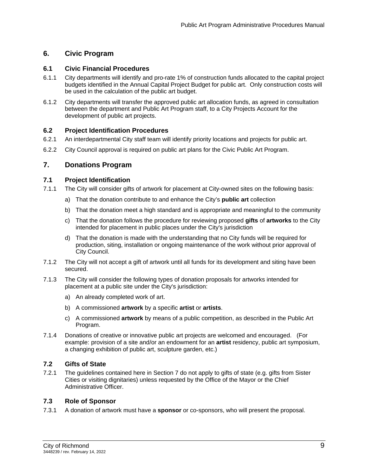# **6. Civic Program**

# **6.1 Civic Financial Procedures**

- 6.1.1 City departments will identify and pro-rate 1% of construction funds allocated to the capital project budgets identified in the Annual Capital Project Budget for public art. Only construction costs will be used in the calculation of the public art budget.
- 6.1.2 City departments will transfer the approved public art allocation funds, as agreed in consultation between the department and Public Art Program staff, to a City Projects Account for the development of public art projects.

# **6.2 Project Identification Procedures**

- 6.2.1 An interdepartmental City staff team will identify priority locations and projects for public art.
- 6.2.2 City Council approval is required on public art plans for the Civic Public Art Program.

# **7. Donations Program**

# **7.1 Project Identification**

- 7.1.1 The City will consider gifts of artwork for placement at City-owned sites on the following basis:
	- a) That the donation contribute to and enhance the City's **public art** collection
	- b) That the donation meet a high standard and is appropriate and meaningful to the community
	- c) That the donation follows the procedure for reviewing proposed **gifts** of **artworks** to the City intended for placement in public places under the City's jurisdiction
	- d) That the donation is made with the understanding that no City funds will be required for production, siting, installation or ongoing maintenance of the work without prior approval of City Council.
- 7.1.2 The City will not accept a gift of artwork until all funds for its development and siting have been secured.
- 7.1.3 The City will consider the following types of donation proposals for artworks intended for placement at a public site under the City's jurisdiction:
	- a) An already completed work of art.
	- b) A commissioned **artwork** by a specific **artist** or **artists**.
	- c) A commissioned **artwork** by means of a public competition, as described in the Public Art Program.
- 7.1.4 Donations of creative or innovative public art projects are welcomed and encouraged. (For example: provision of a site and/or an endowment for an **artist** residency, public art symposium, a changing exhibition of public art, sculpture garden, etc.)

# **7.2 Gifts of State**

7.2.1 The guidelines contained here in Section 7 do not apply to gifts of state (e.g. gifts from Sister Cities or visiting dignitaries) unless requested by the Office of the Mayor or the Chief Administrative Officer.

# **7.3 Role of Sponsor**

7.3.1 A donation of artwork must have a **sponsor** or co-sponsors, who will present the proposal.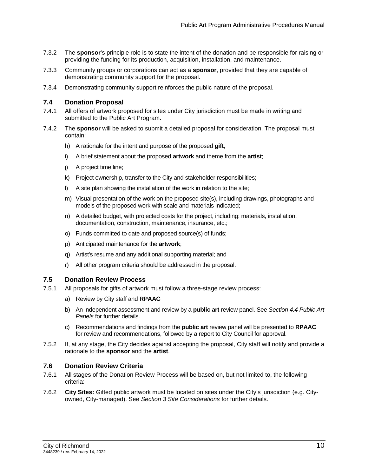- 7.3.2 The **sponsor**'s principle role is to state the intent of the donation and be responsible for raising or providing the funding for its production, acquisition, installation, and maintenance.
- 7.3.3 Community groups or corporations can act as a **sponsor**, provided that they are capable of demonstrating community support for the proposal.
- 7.3.4 Demonstrating community support reinforces the public nature of the proposal.

#### **7.4 Donation Proposal**

- 7.4.1 All offers of artwork proposed for sites under City jurisdiction must be made in writing and submitted to the Public Art Program.
- 7.4.2 The **sponsor** will be asked to submit a detailed proposal for consideration. The proposal must contain:
	- h) A rationale for the intent and purpose of the proposed **gift**;
	- i) A brief statement about the proposed **artwork** and theme from the **artist**;
	- j) A project time line;
	- k) Project ownership, transfer to the City and stakeholder responsibilities;
	- l) A site plan showing the installation of the work in relation to the site;
	- m) Visual presentation of the work on the proposed site(s), including drawings, photographs and models of the proposed work with scale and materials indicated;
	- n) A detailed budget, with projected costs for the project, including: materials, installation, documentation, construction, maintenance, insurance, etc.;
	- o) Funds committed to date and proposed source(s) of funds;
	- p) Anticipated maintenance for the **artwork**;
	- q) Artist's resume and any additional supporting material; and
	- r) All other program criteria should be addressed in the proposal.

#### **7.5 Donation Review Process**

- 7.5.1 All proposals for gifts of artwork must follow a three-stage review process:
	- a) Review by City staff and **RPAAC**
	- b) An independent assessment and review by a **public art** review panel. See *Section 4.4 Public Art Panels* for further details.
	- c) Recommendations and findings from the **public art** review panel will be presented to **RPAAC** for review and recommendations, followed by a report to City Council for approval.
- 7.5.2 If, at any stage, the City decides against accepting the proposal, City staff will notify and provide a rationale to the **sponsor** and the **artist**.

#### **7.6 Donation Review Criteria**

- 7.6.1 All stages of the Donation Review Process will be based on, but not limited to, the following criteria:
- 7.6.2 **City Sites:** Gifted public artwork must be located on sites under the City's jurisdiction (e.g. Cityowned, City-managed). See *Section 3 Site Considerations* for further details.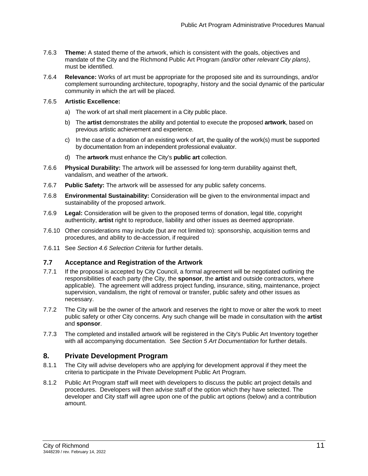- 7.6.3 **Theme:** A stated theme of the artwork, which is consistent with the goals, objectives and mandate of the City and the Richmond Public Art Program *(and/or other relevant City plans)*, must be identified.
- 7.6.4 **Relevance:** Works of art must be appropriate for the proposed site and its surroundings, and/or complement surrounding architecture, topography, history and the social dynamic of the particular community in which the art will be placed.

#### 7.6.5 **Artistic Excellence:**

- a) The work of art shall merit placement in a City public place.
- b) The **artist** demonstrates the ability and potential to execute the proposed **artwork**, based on previous artistic achievement and experience.
- c) In the case of a donation of an existing work of art, the quality of the work(s) must be supported by documentation from an independent professional evaluator.
- d) The **artwork** must enhance the City's **public art** collection.
- 7.6.6 **Physical Durability:** The artwork will be assessed for long-term durability against theft, vandalism, and weather of the artwork.
- 7.6.7 **Public Safety:** The artwork will be assessed for any public safety concerns.
- 7.6.8 **Environmental Sustainability:** Consideration will be given to the environmental impact and sustainability of the proposed artwork.
- 7.6.9 **Legal:** Consideration will be given to the proposed terms of donation, legal title, copyright authenticity, **artist** right to reproduce, liability and other issues as deemed appropriate.
- 7.6.10 Other considerations may include (but are not limited to): sponsorship, acquisition terms and procedures, and ability to de-accession, if required
- 7.6.11 See *Section 4.6 Selection Criteria* for further details.

#### **7.7 Acceptance and Registration of the Artwork**

- 7.7.1 If the proposal is accepted by City Council, a formal agreement will be negotiated outlining the responsibilities of each party (the City, the **sponsor**, the **artist** and outside contractors, where applicable). The agreement will address project funding, insurance, siting, maintenance, project supervision, vandalism, the right of removal or transfer, public safety and other issues as necessary.
- 7.7.2 The City will be the owner of the artwork and reserves the right to move or alter the work to meet public safety or other City concerns. Any such change will be made in consultation with the **artist** and **sponsor**.
- 7.7.3 The completed and installed artwork will be registered in the City's Public Art Inventory together with all accompanying documentation. See *Section 5 Art Documentation* for further details.

# **8. Private Development Program**

- 8.1.1 The City will advise developers who are applying for development approval if they meet the criteria to participate in the Private Development Public Art Program.
- 8.1.2 Public Art Program staff will meet with developers to discuss the public art project details and procedures. Developers will then advise staff of the option which they have selected. The developer and City staff will agree upon one of the public art options (below) and a contribution amount.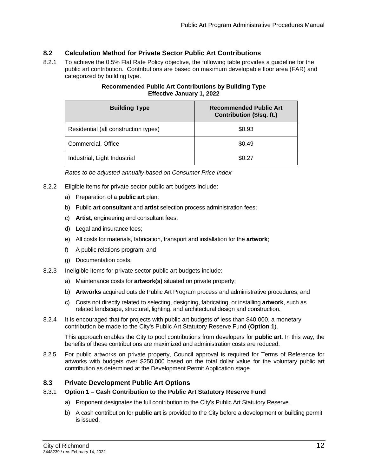# **8.2 Calculation Method for Private Sector Public Art Contributions**

8.2.1 To achieve the 0.5% Flat Rate Policy objective, the following table provides a guideline for the public art contribution. Contributions are based on maximum developable floor area (FAR) and categorized by building type.

| <b>Building Type</b>                 | <b>Recommended Public Art</b><br>Contribution (\$/sq. ft.) |  |
|--------------------------------------|------------------------------------------------------------|--|
| Residential (all construction types) | \$0.93                                                     |  |
| Commercial, Office                   | \$0.49                                                     |  |
| Industrial, Light Industrial         | \$0.27                                                     |  |

# **Recommended Public Art Contributions by Building Type Effective January 1, 2022**

*Rates to be adjusted annually based on Consumer Price Index*

- 8.2.2 Eligible items for private sector public art budgets include:
	- a) Preparation of a **public art** plan;
	- b) Public **art consultant** and **artist** selection process administration fees;
	- c) **Artist**, engineering and consultant fees;
	- d) Legal and insurance fees;
	- e) All costs for materials, fabrication, transport and installation for the **artwork**;
	- f) A public relations program; and
	- g) Documentation costs.
- 8.2.3 Ineligible items for private sector public art budgets include:
	- a) Maintenance costs for **artwork(s)** situated on private property;
	- b) **Artworks** acquired outside Public Art Program process and administrative procedures; and
	- c) Costs not directly related to selecting, designing, fabricating, or installing **artwork**, such as related landscape, structural, lighting, and architectural design and construction.
- 8.2.4 It is encouraged that for projects with public art budgets of less than \$40,000, a monetary contribution be made to the City's Public Art Statutory Reserve Fund (**Option 1**).

This approach enables the City to pool contributions from developers for **public art**. In this way, the benefits of these contributions are maximized and administration costs are reduced.

8.2.5 For public artworks on private property, Council approval is required for Terms of Reference for artworks with budgets over \$250,000 based on the total dollar value for the voluntary public art contribution as determined at the Development Permit Application stage.

# **8.3 Private Development Public Art Options**

#### 8.3.1 **Option 1 – Cash Contribution to the Public Art Statutory Reserve Fund**

- a) Proponent designates the full contribution to the City's Public Art Statutory Reserve.
- b) A cash contribution for **public art** is provided to the City before a development or building permit is issued.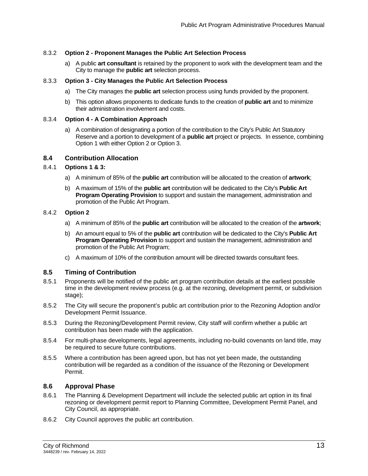#### 8.3.2 **Option 2 - Proponent Manages the Public Art Selection Process**

a) A public **art consultant** is retained by the proponent to work with the development team and the City to manage the **public art** selection process.

#### 8.3.3 **Option 3 - City Manages the Public Art Selection Process**

- a) The City manages the **public art** selection process using funds provided by the proponent.
- b) This option allows proponents to dedicate funds to the creation of **public art** and to minimize their administration involvement and costs.

#### 8.3.4 **Option 4 - A Combination Approach**

a) A combination of designating a portion of the contribution to the City's Public Art Statutory Reserve and a portion to development of a **public art** project or projects. In essence, combining Option 1 with either Option 2 or Option 3.

#### **8.4 Contribution Allocation**

#### 8.4.1 **Options 1 & 3:**

- a) A minimum of 85% of the **public art** contribution will be allocated to the creation of **artwork**;
- b) A maximum of 15% of the **public art** contribution will be dedicated to the City's **Public Art Program Operating Provision** to support and sustain the management, administration and promotion of the Public Art Program.

#### 8.4.2 **Option 2**

- a) A minimum of 85% of the **public art** contribution will be allocated to the creation of the **artwork**;
- b) An amount equal to 5% of the **public art** contribution will be dedicated to the City's **Public Art Program Operating Provision** to support and sustain the management, administration and promotion of the Public Art Program;
- c) A maximum of 10% of the contribution amount will be directed towards consultant fees.

#### **8.5 Timing of Contribution**

- 8.5.1 Proponents will be notified of the public art program contribution details at the earliest possible time in the development review process (e.g. at the rezoning, development permit, or subdivision stage):
- 8.5.2 The City will secure the proponent's public art contribution prior to the Rezoning Adoption and/or Development Permit Issuance.
- 8.5.3 During the Rezoning/Development Permit review, City staff will confirm whether a public art contribution has been made with the application.
- 8.5.4 For multi-phase developments, legal agreements, including no-build covenants on land title, may be required to secure future contributions.
- 8.5.5 Where a contribution has been agreed upon, but has not yet been made, the outstanding contribution will be regarded as a condition of the issuance of the Rezoning or Development Permit.

#### **8.6 Approval Phase**

- 8.6.1 The Planning & Development Department will include the selected public art option in its final rezoning or development permit report to Planning Committee, Development Permit Panel, and City Council, as appropriate.
- 8.6.2 City Council approves the public art contribution.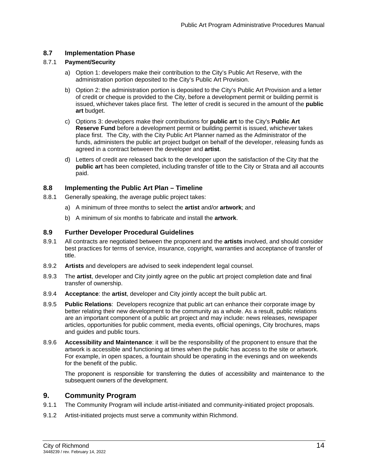# **8.7 Implementation Phase**

#### 8.7.1 **Payment/Security**

- a) Option 1: developers make their contribution to the City's Public Art Reserve, with the administration portion deposited to the City's Public Art Provision.
- b) Option 2: the administration portion is deposited to the City's Public Art Provision and a letter of credit or cheque is provided to the City, before a development permit or building permit is issued, whichever takes place first. The letter of credit is secured in the amount of the **public art** budget.
- c) Options 3: developers make their contributions for **public art** to the City's **Public Art Reserve Fund** before a development permit or building permit is issued, whichever takes place first. The City, with the City Public Art Planner named as the Administrator of the funds, administers the public art project budget on behalf of the developer, releasing funds as agreed in a contract between the developer and **artist**.
- d) Letters of credit are released back to the developer upon the satisfaction of the City that the **public art** has been completed, including transfer of title to the City or Strata and all accounts paid.

#### **8.8 Implementing the Public Art Plan – Timeline**

- 8.8.1 Generally speaking, the average public project takes:
	- a) A minimum of three months to select the **artist** and/or **artwork**; and
	- b) A minimum of six months to fabricate and install the **artwork**.

#### **8.9 Further Developer Procedural Guidelines**

- 8.9.1 All contracts are negotiated between the proponent and the **artists** involved, and should consider best practices for terms of service, insurance, copyright, warranties and acceptance of transfer of title.
- 8.9.2 **Artists** and developers are advised to seek independent legal counsel.
- 8.9.3 The **artist**, developer and City jointly agree on the public art project completion date and final transfer of ownership.
- 8.9.4 **Acceptance**: the **artist**, developer and City jointly accept the built public art.
- 8.9.5 **Public Relations**: Developers recognize that public art can enhance their corporate image by better relating their new development to the community as a whole. As a result, public relations are an important component of a public art project and may include: news releases, newspaper articles, opportunities for public comment, media events, official openings, City brochures, maps and guides and public tours.
- 8.9.6 **Accessibility and Maintenance**: it will be the responsibility of the proponent to ensure that the artwork is accessible and functioning at times when the public has access to the site or artwork. For example, in open spaces, a fountain should be operating in the evenings and on weekends for the benefit of the public.

The proponent is responsible for transferring the duties of accessibility and maintenance to the subsequent owners of the development.

# **9. Community Program**

- 9.1.1 The Community Program will include artist-initiated and community-initiated project proposals.
- 9.1.2 Artist-initiated projects must serve a community within Richmond.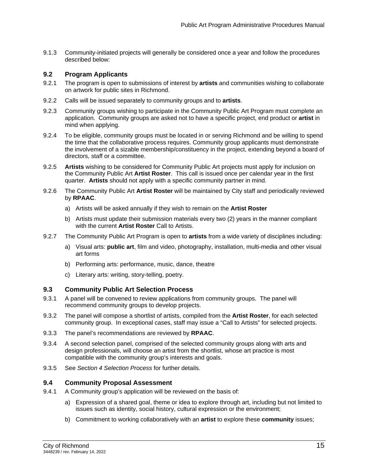9.1.3 Community-initiated projects will generally be considered once a year and follow the procedures described below:

### **9.2 Program Applicants**

- 9.2.1 The program is open to submissions of interest by **artists** and communities wishing to collaborate on artwork for public sites in Richmond.
- 9.2.2 Calls will be issued separately to community groups and to **artists**.
- 9.2.3 Community groups wishing to participate in the Community Public Art Program must complete an application. Community groups are asked not to have a specific project, end product or **artist** in mind when applying.
- 9.2.4 To be eligible, community groups must be located in or serving Richmond and be willing to spend the time that the collaborative process requires. Community group applicants must demonstrate the involvement of a sizable membership/constituency in the project, extending beyond a board of directors, staff or a committee.
- 9.2.5 **Artists** wishing to be considered for Community Public Art projects must apply for inclusion on the Community Public Art **Artist Roster**. This call is issued once per calendar year in the first quarter. **Artists** should not apply with a specific community partner in mind.
- 9.2.6 The Community Public Art **Artist Roster** will be maintained by City staff and periodically reviewed by **RPAAC**.
	- a) Artists will be asked annually if they wish to remain on the **Artist Roster**
	- b) Artists must update their submission materials every two (2) years in the manner compliant with the current **Artist Roster** Call to Artists.
- 9.2.7 The Community Public Art Program is open to **artists** from a wide variety of disciplines including:
	- a) Visual arts: **public art**, film and video, photography, installation, multi-media and other visual art forms
	- b) Performing arts: performance, music, dance, theatre
	- c) Literary arts: writing, story-telling, poetry.

#### **9.3 Community Public Art Selection Process**

- 9.3.1 A panel will be convened to review applications from community groups. The panel will recommend community groups to develop projects.
- 9.3.2 The panel will compose a shortlist of artists, compiled from the **Artist Roster**, for each selected community group. In exceptional cases, staff may issue a "Call to Artists" for selected projects.
- 9.3.3 The panel's recommendations are reviewed by **RPAAC**.
- 9.3.4 A second selection panel, comprised of the selected community groups along with arts and design professionals, will choose an artist from the shortlist, whose art practice is most compatible with the community group's interests and goals.
- 9.3.5 See *Section 4 Selection Process* for further details.

#### **9.4 Community Proposal Assessment**

- 9.4.1 A Community group's application will be reviewed on the basis of:
	- a) Expression of a shared goal, theme or idea to explore through art, including but not limited to issues such as identity, social history, cultural expression or the environment;
	- b) Commitment to working collaboratively with an **artist** to explore these **community** issues;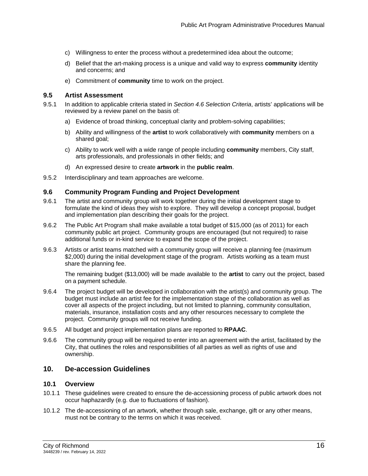- c) Willingness to enter the process without a predetermined idea about the outcome;
- d) Belief that the art-making process is a unique and valid way to express **community** identity and concerns; and
- e) Commitment of **community** time to work on the project.

#### **9.5 Artist Assessment**

- 9.5.1 In addition to applicable criteria stated in *Section 4.6 Selection Criteria*, artists' applications will be reviewed by a review panel on the basis of:
	- a) Evidence of broad thinking, conceptual clarity and problem-solving capabilities;
	- b) Ability and willingness of the **artist** to work collaboratively with **community** members on a shared goal;
	- c) Ability to work well with a wide range of people including **community** members, City staff, arts professionals, and professionals in other fields; and
	- d) An expressed desire to create **artwork** in the **public realm**.
- 9.5.2 Interdisciplinary and team approaches are welcome.

#### **9.6 Community Program Funding and Project Development**

- 9.6.1 The artist and community group will work together during the initial development stage to formulate the kind of ideas they wish to explore. They will develop a concept proposal, budget and implementation plan describing their goals for the project.
- 9.6.2 The Public Art Program shall make available a total budget of \$15,000 (as of 2011) for each community public art project. Community groups are encouraged (but not required) to raise additional funds or in-kind service to expand the scope of the project.
- 9.6.3 Artists or artist teams matched with a community group will receive a planning fee (maximum \$2,000) during the initial development stage of the program. Artists working as a team must share the planning fee.

The remaining budget (\$13,000) will be made available to the **artist** to carry out the project, based on a payment schedule.

- 9.6.4 The project budget will be developed in collaboration with the artist(s) and community group. The budget must include an artist fee for the implementation stage of the collaboration as well as cover all aspects of the project including, but not limited to planning, community consultation, materials, insurance, installation costs and any other resources necessary to complete the project. Community groups will not receive funding.
- 9.6.5 All budget and project implementation plans are reported to **RPAAC**.
- 9.6.6 The community group will be required to enter into an agreement with the artist, facilitated by the City, that outlines the roles and responsibilities of all parties as well as rights of use and ownership.

# **10. De-accession Guidelines**

#### **10.1 Overview**

- 10.1.1 These guidelines were created to ensure the de-accessioning process of public artwork does not occur haphazardly (e.g. due to fluctuations of fashion).
- 10.1.2 The de-accessioning of an artwork, whether through sale, exchange, gift or any other means, must not be contrary to the terms on which it was received.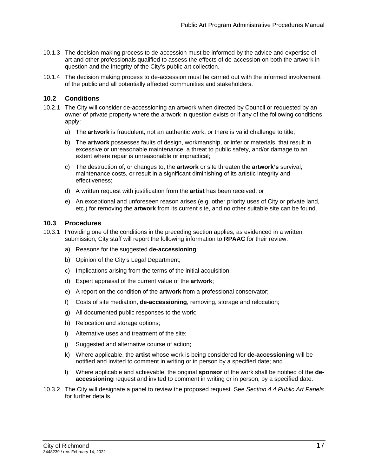- 10.1.3 The decision-making process to de-accession must be informed by the advice and expertise of art and other professionals qualified to assess the effects of de-accession on both the artwork in question and the integrity of the City's public art collection.
- 10.1.4 The decision making process to de-accession must be carried out with the informed involvement of the public and all potentially affected communities and stakeholders.

# **10.2 Conditions**

- 10.2.1 The City will consider de-accessioning an artwork when directed by Council or requested by an owner of private property where the artwork in question exists or if any of the following conditions apply:
	- a) The **artwork** is fraudulent, not an authentic work, or there is valid challenge to title;
	- b) The **artwork** possesses faults of design, workmanship, or inferior materials, that result in excessive or unreasonable maintenance, a threat to public safety, and/or damage to an extent where repair is unreasonable or impractical;
	- c) The destruction of, or changes to, the **artwork** or site threaten the **artwork's** survival, maintenance costs, or result in a significant diminishing of its artistic integrity and effectiveness;
	- d) A written request with justification from the **artist** has been received; or
	- e) An exceptional and unforeseen reason arises (e.g. other priority uses of City or private land, etc.) for removing the **artwork** from its current site, and no other suitable site can be found.

#### **10.3 Procedures**

- 10.3.1 Providing one of the conditions in the preceding section applies, as evidenced in a written submission, City staff will report the following information to **RPAAC** for their review:
	- a) Reasons for the suggested **de-accessioning**;
	- b) Opinion of the City's Legal Department;
	- c) Implications arising from the terms of the initial acquisition;
	- d) Expert appraisal of the current value of the **artwork**;
	- e) A report on the condition of the **artwork** from a professional conservator;
	- f) Costs of site mediation, **de-accessioning**, removing, storage and relocation;
	- g) All documented public responses to the work;
	- h) Relocation and storage options;
	- i) Alternative uses and treatment of the site;
	- j) Suggested and alternative course of action;
	- k) Where applicable, the **artist** whose work is being considered for **de-accessioning** will be notified and invited to comment in writing or in person by a specified date; and
	- l) Where applicable and achievable, the original **sponsor** of the work shall be notified of the **deaccessioning** request and invited to comment in writing or in person, by a specified date.
- 10.3.2 The City will designate a panel to review the proposed request. See *Section 4.4 Public Art Panels*  for further details.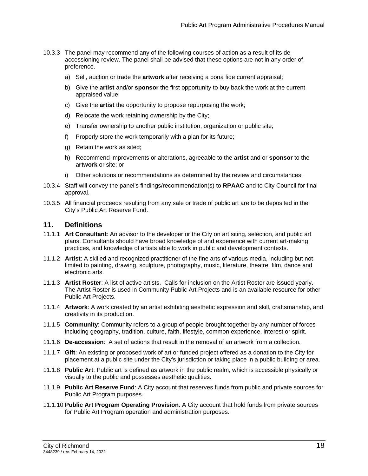- 10.3.3 The panel may recommend any of the following courses of action as a result of its deaccessioning review. The panel shall be advised that these options are not in any order of preference.
	- a) Sell, auction or trade the **artwork** after receiving a bona fide current appraisal;
	- b) Give the **artist** and/or **sponsor** the first opportunity to buy back the work at the current appraised value;
	- c) Give the **artist** the opportunity to propose repurposing the work;
	- d) Relocate the work retaining ownership by the City;
	- e) Transfer ownership to another public institution, organization or public site;
	- f) Properly store the work temporarily with a plan for its future;
	- g) Retain the work as sited;
	- h) Recommend improvements or alterations, agreeable to the **artist** and or **sponsor** to the **artwork** or site; or
	- i) Other solutions or recommendations as determined by the review and circumstances.
- 10.3.4 Staff will convey the panel's findings/recommendation(s) to **RPAAC** and to City Council for final approval.
- 10.3.5 All financial proceeds resulting from any sale or trade of public art are to be deposited in the City's Public Art Reserve Fund.

# **11. Definitions**

- 11.1.1 **Art Consultant**: An advisor to the developer or the City on art siting, selection, and public art plans. Consultants should have broad knowledge of and experience with current art-making practices, and knowledge of artists able to work in public and development contexts.
- 11.1.2 **Artist**: A skilled and recognized practitioner of the fine arts of various media, including but not limited to painting, drawing, sculpture, photography, music, literature, theatre, film, dance and electronic arts.
- 11.1.3 **Artist Roster**: A list of active artists. Calls for inclusion on the Artist Roster are issued yearly. The Artist Roster is used in Community Public Art Projects and is an available resource for other Public Art Projects.
- 11.1.4 **Artwork**: A work created by an artist exhibiting aesthetic expression and skill, craftsmanship, and creativity in its production.
- 11.1.5 **Community**: Community refers to a group of people brought together by any number of forces including geography, tradition, culture, faith, lifestyle, common experience, interest or spirit.
- 11.1.6 **De-accession**: A set of actions that result in the removal of an artwork from a collection.
- 11.1.7 **Gift**: An existing or proposed work of art or funded project offered as a donation to the City for placement at a public site under the City's jurisdiction or taking place in a public building or area.
- 11.1.8 **Public Art**: Public art is defined as artwork in the public realm, which is accessible physically or visually to the public and possesses aesthetic qualities.
- 11.1.9 **Public Art Reserve Fund**: A City account that reserves funds from public and private sources for Public Art Program purposes.
- 11.1.10 **Public Art Program Operating Provision**: A City account that hold funds from private sources for Public Art Program operation and administration purposes.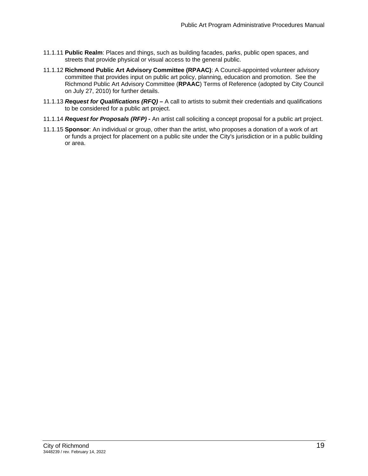- 11.1.11 **Public Realm**: Places and things, such as building facades, parks, public open spaces, and streets that provide physical or visual access to the general public.
- 11.1.12 **Richmond Public Art Advisory Committee (RPAAC)**: A Council-appointed volunteer advisory committee that provides input on public art policy, planning, education and promotion. See the Richmond Public Art Advisory Committee (**RPAAC**) Terms of Reference (adopted by City Council on July 27, 2010) for further details.
- 11.1.13 *Request for Qualifications (RFQ)* A call to artists to submit their credentials and qualifications to be considered for a public art project.
- 11.1.14 *Request for Proposals (RFP)* An artist call soliciting a concept proposal for a public art project.
- 11.1.15 **Sponsor**: An individual or group, other than the artist, who proposes a donation of a work of art or funds a project for placement on a public site under the City's jurisdiction or in a public building or area.